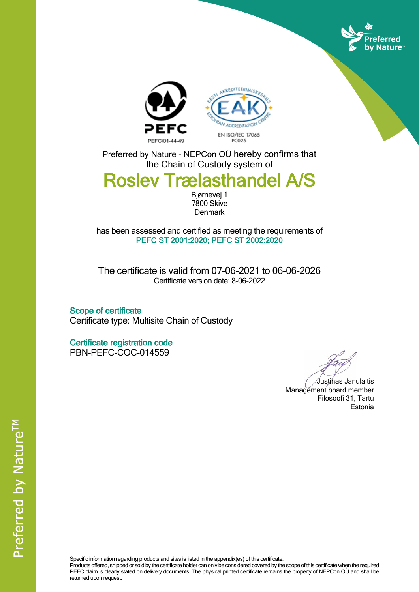





Preferred by Nature - NEPCon OÜ hereby confirms that the Chain of Custody system of

## **Roslev Trælasthandel A/S**

Bjørnevej 1 7800 Skive **Denmark** 

has been assessed and certified as meeting the requirements of **PEFC ST 2001:2020; PEFC ST 2002:2020**

The certificate is valid from 07-06-2021 to 06-06-2026 Certificate version date: 8-06-2022

**Scope of certificate** Certificate type: Multisite Chain of Custody

**Certificate registration code** PBN-PEFC-COC-014559

Justinas Janulaitis Management board member Filosoofi 31, Tartu Estonia

Specific information regarding products and sites is listed in the appendix(es) of this certificate.

Products offered, shipped or sold by the certificate holder can only be considered covered by the scope of this certificate when the required PEFC claim is clearly stated on delivery documents. The physical printed certificate remains the property of NEPCon OÜ and shall be returned upon request.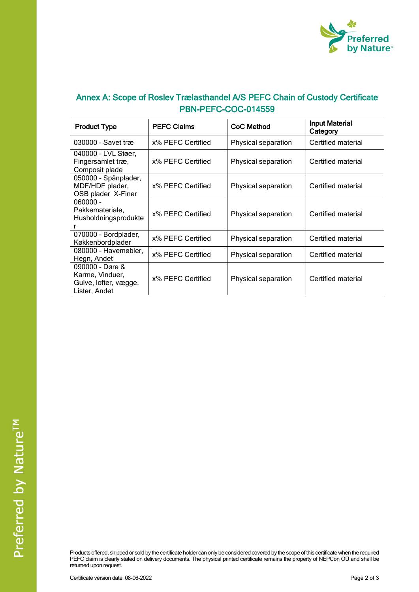

## **Annex A: Scope of Roslev Trælasthandel A/S PEFC Chain of Custody Certificate PBN-PEFC-COC-014559**

| <b>Product Type</b>                                                          | <b>PEFC Claims</b> | <b>CoC Method</b>   | <b>Input Material</b><br>Category |
|------------------------------------------------------------------------------|--------------------|---------------------|-----------------------------------|
| 030000 - Savet træ                                                           | x% PEFC Certified  | Physical separation | Certified material                |
| 040000 - LVL Støer,<br>Fingersamlet træ,<br>Composit plade                   | x% PEFC Certified  | Physical separation | Certified material                |
| 050000 - Spånplader,<br>MDF/HDF plader,<br>OSB plader X-Finer                | x% PEFC Certified  | Physical separation | Certified material                |
| 060000 -<br>Pakkemateriale,<br>Husholdningsprodukte<br>r                     | x% PEFC Certified  | Physical separation | Certified material                |
| 070000 - Bordplader,<br>Køkkenbordplader                                     | x% PEFC Certified  | Physical separation | Certified material                |
| 080000 - Havemøbler,<br>Hegn, Andet                                          | x% PEFC Certified  | Physical separation | Certified material                |
| 090000 - Døre &<br>Karme, Vinduer,<br>Gulve, lofter, vægge,<br>Lister, Andet | x% PEFC Certified  | Physical separation | Certified material                |

Products offered, shipped or sold by the certificate holder can only be considered covered by the scope of this certificate when the required PEFC claim is clearly stated on delivery documents. The physical printed certificate remains the property of NEPCon OÜ and shall be returned upon request.